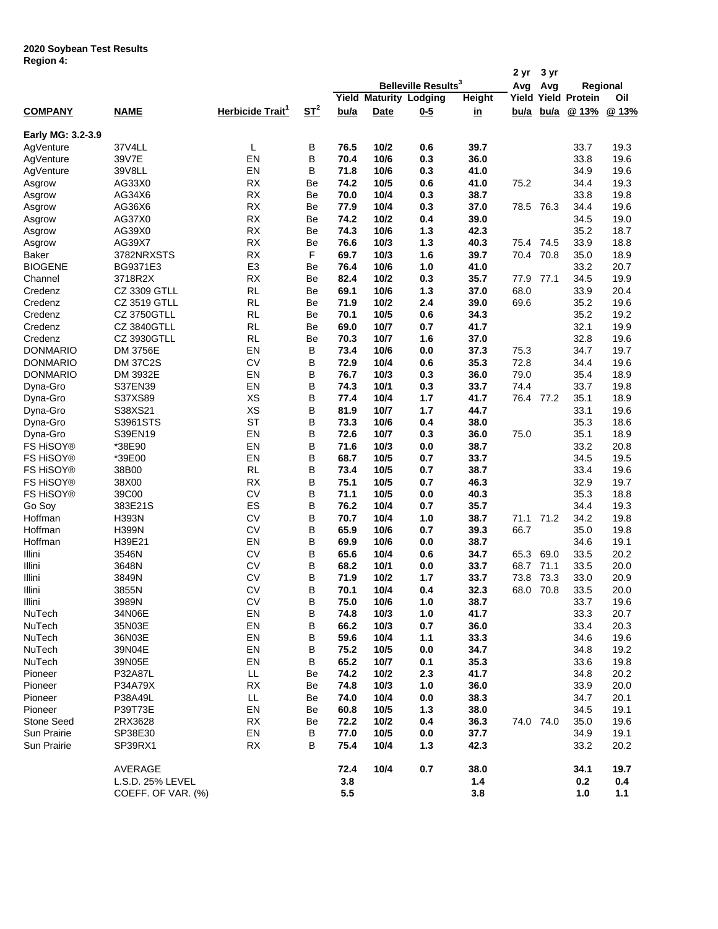## **2020 Soybean Test Results Region 4:**

|                    |                    |                              |                    |      |             |                                 |               | 2 yr        | 3 yr      |                            |       |
|--------------------|--------------------|------------------------------|--------------------|------|-------------|---------------------------------|---------------|-------------|-----------|----------------------------|-------|
|                    |                    |                              |                    |      |             | Belleville Results <sup>3</sup> |               | Avg         | Avg       | Regional                   |       |
|                    |                    |                              |                    |      |             | <b>Yield Maturity Lodging</b>   | <b>Height</b> |             |           | <b>Yield Yield Protein</b> | Oil   |
| <b>COMPANY</b>     | <b>NAME</b>        | Herbicide Trait <sup>1</sup> | $S_{\text{L}}^{2}$ | bu/a | <b>Date</b> | $0 - 5$                         | <u>in</u>     | <u>bu/a</u> | bu/a      | @ 13%                      | @ 13% |
| Early MG: 3.2-3.9  |                    |                              |                    |      |             |                                 |               |             |           |                            |       |
| AgVenture          | 37V4LL             | L                            | В                  | 76.5 | 10/2        | 0.6                             | 39.7          |             |           | 33.7                       | 19.3  |
| AgVenture          | 39V7E              | EN                           | B                  | 70.4 | 10/6        | 0.3                             | 36.0          |             |           | 33.8                       | 19.6  |
| AgVenture          | 39V8LL             | EN                           | B                  | 71.8 | 10/6        | 0.3                             | 41.0          |             |           | 34.9                       | 19.6  |
| Asgrow             | AG33X0             | <b>RX</b>                    | Be                 | 74.2 | 10/5        | 0.6                             | 41.0          | 75.2        |           | 34.4                       | 19.3  |
| Asgrow             | AG34X6             | <b>RX</b>                    | Be                 | 70.0 | 10/4        | 0.3                             | 38.7          |             |           | 33.8                       | 19.8  |
| Asgrow             | AG36X6             | <b>RX</b>                    | Be                 | 77.9 | 10/4        | 0.3                             | 37.0          | 78.5        | 76.3      | 34.4                       | 19.6  |
| Asgrow             | AG37X0             | <b>RX</b>                    | Be                 | 74.2 | 10/2        | 0.4                             | 39.0          |             |           | 34.5                       | 19.0  |
| Asgrow             | AG39X0             | <b>RX</b>                    | Be                 | 74.3 | 10/6        | 1.3                             | 42.3          |             |           | 35.2                       | 18.7  |
| Asgrow             | AG39X7             | <b>RX</b>                    | Be                 | 76.6 | 10/3        | $1.3$                           | 40.3          | 75.4        | 74.5      | 33.9                       | 18.8  |
| <b>Baker</b>       | 3782NRXSTS         | <b>RX</b>                    | F                  | 69.7 | 10/3        | 1.6                             | 39.7          | 70.4        | 70.8      | 35.0                       | 18.9  |
| <b>BIOGENE</b>     | BG9371E3           | E <sub>3</sub>               | Be                 | 76.4 | 10/6        | 1.0                             | 41.0          |             |           | 33.2                       | 20.7  |
| Channel            | 3718R2X            | <b>RX</b>                    | Be                 | 82.4 | 10/2        | 0.3                             | 35.7          | 77.9        | 77.1      | 34.5                       | 19.9  |
| Credenz            | CZ 3309 GTLL       | <b>RL</b>                    | Be                 | 69.1 | 10/6        | 1.3                             | 37.0          | 68.0        |           | 33.9                       | 20.4  |
| Credenz            | CZ 3519 GTLL       | <b>RL</b>                    | Be                 | 71.9 | 10/2        | 2.4                             | 39.0          | 69.6        |           | 35.2                       | 19.6  |
| Credenz            | <b>CZ 3750GTLL</b> | <b>RL</b>                    | Be                 | 70.1 | 10/5        | 0.6                             | 34.3          |             |           | 35.2                       | 19.2  |
|                    | <b>CZ 3840GTLL</b> | <b>RL</b>                    | Be                 | 69.0 | 10/7        |                                 | 41.7          |             |           | 32.1                       |       |
| Credenz<br>Credenz | CZ 3930GTLL        | <b>RL</b>                    |                    | 70.3 | 10/7        | 0.7<br>1.6                      | 37.0          |             |           | 32.8                       | 19.9  |
|                    |                    |                              | Be                 |      |             |                                 |               |             |           |                            | 19.6  |
| DONMARIO           | DM 3756E           | EN                           | B                  | 73.4 | 10/6        | 0.0                             | 37.3          | 75.3        |           | 34.7                       | 19.7  |
| <b>DONMARIO</b>    | <b>DM 37C2S</b>    | <b>CV</b>                    | В                  | 72.9 | 10/4        | 0.6                             | 35.3          | 72.8        |           | 34.4                       | 19.6  |
| <b>DONMARIO</b>    | DM 3932E           | EN                           | В                  | 76.7 | 10/3        | 0.3                             | 36.0          | 79.0        |           | 35.4                       | 18.9  |
| Dyna-Gro           | S37EN39            | EN                           | В                  | 74.3 | 10/1        | 0.3                             | 33.7          | 74.4        |           | 33.7                       | 19.8  |
| Dyna-Gro           | S37XS89            | XS                           | B                  | 77.4 | 10/4        | 1.7                             | 41.7          | 76.4        | 77.2      | 35.1                       | 18.9  |
| Dyna-Gro           | S38XS21            | XS                           | B                  | 81.9 | 10/7        | 1.7                             | 44.7          |             |           | 33.1                       | 19.6  |
| Dyna-Gro           | S3961STS           | <b>ST</b>                    | B                  | 73.3 | 10/6        | 0.4                             | 38.0          |             |           | 35.3                       | 18.6  |
| Dyna-Gro           | S39EN19            | EN                           | B                  | 72.6 | 10/7        | 0.3                             | 36.0          | 75.0        |           | 35.1                       | 18.9  |
| FS HiSOY®          | *38E90             | EN                           | B                  | 71.6 | 10/3        | 0.0                             | 38.7          |             |           | 33.2                       | 20.8  |
| FS HiSOY®          | *39E00             | EN                           | B                  | 68.7 | 10/5        | 0.7                             | 33.7          |             |           | 34.5                       | 19.5  |
| FS HiSOY®          | 38B00              | <b>RL</b>                    | B                  | 73.4 | 10/5        | 0.7                             | 38.7          |             |           | 33.4                       | 19.6  |
| FS HiSOY®          | 38X00              | <b>RX</b>                    | В                  | 75.1 | 10/5        | 0.7                             | 46.3          |             |           | 32.9                       | 19.7  |
| FS HiSOY®          | 39C00              | <b>CV</b>                    | В                  | 71.1 | 10/5        | 0.0                             | 40.3          |             |           | 35.3                       | 18.8  |
| Go Soy             | 383E21S            | ES                           | В                  | 76.2 | 10/4        | 0.7                             | 35.7          |             |           | 34.4                       | 19.3  |
| Hoffman            | <b>H393N</b>       | <b>CV</b>                    | B                  | 70.7 | 10/4        | 1.0                             | 38.7          | 71.1        | 71.2      | 34.2                       | 19.8  |
| Hoffman            | <b>H399N</b>       | <b>CV</b>                    | B                  | 65.9 | 10/6        | 0.7                             | 39.3          | 66.7        |           | 35.0                       | 19.8  |
| Hoffman            | H39E21             | EN                           | B                  | 69.9 | 10/6        | 0.0                             | 38.7          |             |           | 34.6                       | 19.1  |
| Illini             | 3546N              | <b>CV</b>                    | В                  | 65.6 | 10/4        | 0.6                             | 34.7          | 65.3        | 69.0      | 33.5                       | 20.2  |
| Illini             | 3648N              | <b>CV</b>                    | B                  | 68.2 | 10/1        | 0.0                             | 33.7          | 68.7        | 71.1      | 33.5                       | 20.0  |
| Illini             | 3849N              | <b>CV</b>                    | B                  | 71.9 | 10/2        | 1.7                             | 33.7          | 73.8        | 73.3      | 33.0                       | 20.9  |
| Illini             | 3855N              | <b>CV</b>                    | B                  | 70.1 | 10/4        | 0.4                             | 32.3          | 68.0        | 70.8      | 33.5                       | 20.0  |
| Illini             | 3989N              | CV                           | В                  | 75.0 | 10/6        | 1.0                             | 38.7          |             |           | 33.7                       | 19.6  |
| NuTech             | 34N06E             | EN                           | В                  | 74.8 | 10/3        | 1.0                             | 41.7          |             |           | 33.3                       | 20.7  |
| NuTech             | 35N03E             | EN                           | В                  | 66.2 | 10/3        | 0.7                             | 36.0          |             |           | 33.4                       | 20.3  |
| NuTech             | 36N03E             | EN                           | В                  | 59.6 | 10/4        | 1.1                             | 33.3          |             |           | 34.6                       | 19.6  |
| NuTech             | 39N04E             | EN                           | В                  | 75.2 | 10/5        | 0.0                             | 34.7          |             |           | 34.8                       | 19.2  |
| NuTech             | 39N05E             | EN                           | В                  | 65.2 | 10/7        | 0.1                             | 35.3          |             |           | 33.6                       | 19.8  |
| Pioneer            | P32A87L            | LL                           | Be                 | 74.2 | 10/2        | 2.3                             | 41.7          |             |           | 34.8                       | 20.2  |
| Pioneer            | P34A79X            | RX                           | Be                 | 74.8 | 10/3        | $1.0$                           | 36.0          |             |           | 33.9                       | 20.0  |
| Pioneer            | P38A49L            | LL                           | Be                 | 74.0 | 10/4        | 0.0                             | 38.3          |             |           | 34.7                       | 20.1  |
| Pioneer            | P39T73E            | EN                           | Be                 | 60.8 | 10/5        | 1.3                             | 38.0          |             |           | 34.5                       | 19.1  |
| Stone Seed         | 2RX3628            | <b>RX</b>                    | Be                 | 72.2 | 10/2        | 0.4                             | 36.3          |             | 74.0 74.0 | 35.0                       | 19.6  |
|                    |                    | EN                           | В                  | 77.0 | 10/5        |                                 |               |             |           | 34.9                       | 19.1  |
| Sun Prairie        | SP38E30            |                              |                    |      |             | 0.0                             | 37.7          |             |           |                            |       |
| Sun Prairie        | SP39RX1            | <b>RX</b>                    | В                  | 75.4 | 10/4        | 1.3                             | 42.3          |             |           | 33.2                       | 20.2  |
|                    | AVERAGE            |                              |                    | 72.4 | 10/4        | 0.7                             | 38.0          |             |           | 34.1                       | 19.7  |
|                    | L.S.D. 25% LEVEL   |                              |                    | 3.8  |             |                                 | 1.4           |             |           | 0.2                        | 0.4   |
|                    | COEFF. OF VAR. (%) |                              |                    | 5.5  |             |                                 | 3.8           |             |           | 1.0                        | 1.1   |